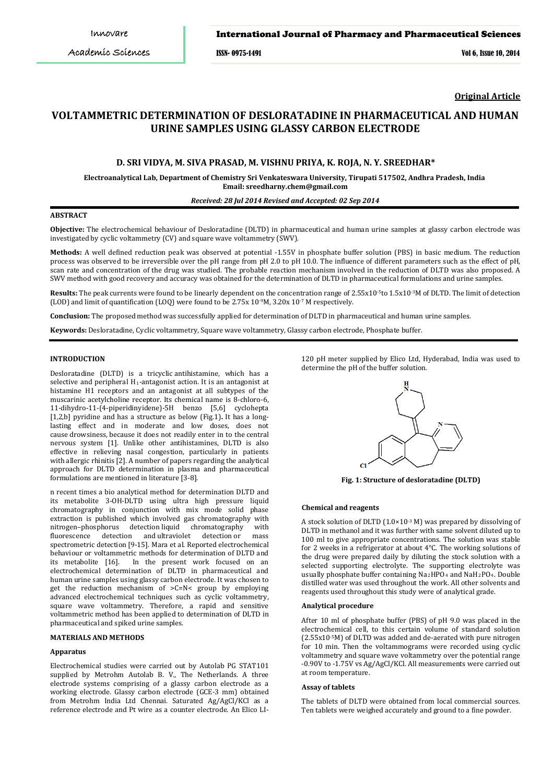## International Journal of Pharmacy and Pharmaceutical Sciences

ISSN- 0975-1491 Vol 6, Issue 10, 2014

**Original Article**

# **VOLTAMMETRIC DETERMINATION OF DESLORATADINE IN PHARMACEUTICAL AND HUMAN URINE SAMPLES USING GLASSY CARBON ELECTRODE**

# **D. SRI VIDYA, M. SIVA PRASAD, M. VISHNU PRIYA, K. ROJA, N. Y. SREEDHAR\***

**Electroanalytical Lab, Department of Chemistry Sri Venkateswara University, Tirupati 517502, Andhra Pradesh, India Email: sreedharny.chem@gmail.com**

# *Received: 28 Jul 2014 Revised and Accepted: 02 Sep 2014*

# **ABSTRACT**

**Objective:** The electrochemical behaviour of Desloratadine (DLTD) in pharmaceutical and human urine samples at glassy carbon electrode was investigated by cyclic voltammetry (CV) and square wave voltammetry (SWV).

**Methods:** A well defined reduction peak was observed at potential -1.55V in phosphate buffer solution (PBS) in basic medium. The reduction process was observed to be irreversible over the pH range from pH 2.0 to pH 10.0. The influence of different parameters such as the effect of pH, scan rate and concentration of the drug was studied. The probable reaction mechanism involved in the reduction of DLTD was also proposed. A SWV method with good recovery and accuracy was obtained for the determination of DLTD in pharmaceutical formulations and urine samples.

**Results:** The peak currents were found to be linearly dependent on the concentration range of 2.55x10-5to 1.5x10-3M of DLTD. The limit of detection (LOD) and limit of quantification (LOQ) were found to be  $2.75x10^{9}$ M,  $3.20x10^{5}$  M respectively.

**Conclusion:** The proposed method was successfully applied for determination of DLTD in pharmaceutical and human urine samples.

**Keywords:** Desloratadine, Cyclic voltammetry, Square wave voltammetry, Glassy carbon electrode, Phosphate buffer.

#### **INTRODUCTION**

Desloratadine (DLTD) is a tricyclic antihistamine, which has a selective and peripheral H<sub>1</sub>-antagonist action. It is an antagonist at histamine H1 receptors and an antagonist at all subtypes of the muscarinic acetylcholine receptor. Its chemical name is 8-chloro-6, 11-dihydro-11-(4-piperidinyidene)-5H benzo [5,6] cyclohepta [1,2,b] pyridine and has a structure as below (Fig.1)**.** It has a longlasting effect and in moderate and low doses, does not cause [drowsiness,](http://en.wikipedia.org/wiki/Drowsiness) because it does not readily enter in to the central nervous system [1]. Unlike other antihistamines, DLTD is also effective in relieving nasal congestion, particularly in patients with [allergic rhinitis](http://en.wikipedia.org/wiki/Allergic_rhinitis) [2]. A number of papers regarding the analytical approach for DLTD determination in plasma and pharmaceutical formulations are mentioned in literature [3-8].

n recent times a bio analytical method for determination DLTD and its metabolite 3-OH-DLTD using ultra high pressure liquid chromatography in conjunction with mix mode solid phase extraction is published which involved gas chromatography with nitrogen-phosphorus detection liquid chromatography with nitrogen–phosphorus detection liquid chromatography with<br>fluorescence detection and ultraviolet detection or mass detection and ultraviolet detection or spectrometric detection [9-15]. Mara et al. Reported electrochemical behaviour or voltammetric methods for determination of DLTD and<br>its metabolite [16]. In the present work focused on an In the present work focused on an electrochemical determination of DLTD in pharmaceutical and human urine samples using glassy carbon electrode. It was chosen to get the reduction mechanism of >C=N< group by employing advanced electrochemical techniques such as cyclic voltammetry, square wave voltammetry. Therefore, a rapid and sensitive voltammetric method has been applied to determination of DLTD in pharmaceutical and spiked urine samples.

# **MATERIALS AND METHODS**

#### **Apparatus**

Electrochemical studies were carried out by Autolab PG STAT101 supplied by Metrohm Autolab B. V., The Netherlands. A three electrode systems comprising of a glassy carbon electrode as a working electrode. Glassy carbon electrode (GCE-3 mm) obtained from Metrohm India Ltd Chennai. Saturated Ag/AgCl/KCl as a reference electrode and Pt wire as a counter electrode. An Elico LI-

120 pH meter supplied by Elico Ltd, Hyderabad, India was used to determine the pH of the buffer solution.



**Fig. 1: Structure of desloratadine (DLTD)**

#### **Chemical and reagents**

A stock solution of DLTD  $(1.0 \times 10^{-3} \text{ M})$  was prepared by dissolving of DLTD in methanol and it was further with same solvent diluted up to 100 ml to give appropriate concentrations. The solution was stable for 2 weeks in a refrigerator at about 4°C. The working solutions of the drug were prepared daily by diluting the stock solution with a selected supporting electrolyte. The supporting electrolyte was usually phosphate buffer containing  $Na<sub>2</sub>HPO<sub>4</sub>$  and  $NaH<sub>2</sub>PO<sub>4</sub>$ . Double distilled water was used throughout the work. All other solvents and reagents used throughout this study were of analytical grade.

#### **Analytical procedure**

After 10 ml of phosphate buffer (PBS) of pH 9.0 was placed in the electrochemical cell, to this certain volume of standard solution (2.55x10-5 M) of DLTD was added and de-aerated with pure nitrogen for 10 min. Then the voltammograms were recorded using cyclic voltammetry and square wave voltammetry over the potential range -0.90V to -1.75V vs Ag/AgCl/KCl. All measurements were carried out at room temperature.

#### **Assay of tablets**

The tablets of DLTD were obtained from local commercial sources. Ten tablets were weighed accurately and ground to a fine powder.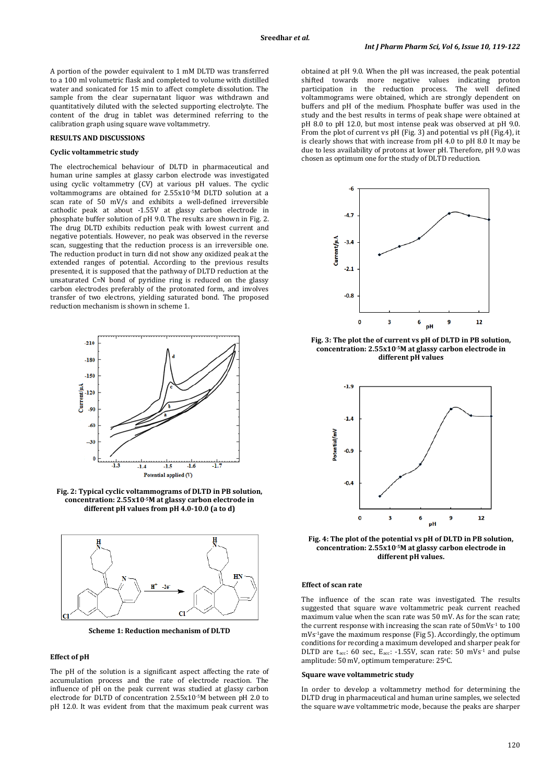A portion of the powder equivalent to 1 mM DLTD was transferred to a 100 ml volumetric flask and completed to volume with distilled water and sonicated for 15 min to affect complete dissolution. The sample from the clear supernatant liquor was withdrawn and quantitatively diluted with the selected supporting electrolyte. The content of the drug in tablet was determined referring to the calibration graph using square wave voltammetry.

# **RESULTS AND DISCUSSIONS**

#### **Cyclic voltammetric study**

The electrochemical behaviour of DLTD in pharmaceutical and human urine samples at glassy carbon electrode was investigated using cyclic voltammetry (CV) at various pH values. The cyclic voltammograms are obtained for 2.55x10-5M DLTD solution at a scan rate of 50 mV/s and exhibits a well-defined irreversible cathodic peak at about -1.55V at glassy carbon electrode in phosphate buffer solution of pH 9.0. The results are shown in Fig. 2. The drug DLTD exhibits reduction peak with lowest current and negative potentials. However, no peak was observed in the reverse scan, suggesting that the reduction process is an irreversible one. The reduction product in turn did not show any oxidized peak at the extended ranges of potential. According to the previous results presented, it is supposed that the pathway of DLTD reduction at the unsaturated C=N bond of pyridine ring is reduced on the glassy carbon electrodes preferably of the protonated form, and involves transfer of two electrons, yielding saturated bond. The proposed reduction mechanism is shown in scheme 1.



**Fig. 2: Typical cyclic voltammograms of DLTD in PB solution, concentration: 2.55x10-5M at glassy carbon electrode in different pH values from pH 4.0-10.0 (a to d)**



**Scheme 1: Reduction mechanism of DLTD**

#### **Effect of pH**

The pH of the solution is a significant aspect affecting the rate of accumulation process and the rate of electrode reaction. The influence of pH on the peak current was studied at glassy carbon electrode for DLTD of concentration 2.55x10-5M between pH 2.0 to pH 12.0. It was evident from that the maximum peak current was obtained at pH 9.0. When the pH was increased, the peak potential shifted towards more negative values indicating proton<br>participation in the reduction process. The well defined participation in the reduction process. The well voltammograms were obtained, which are strongly dependent on buffers and pH of the medium. Phosphate buffer was used in the study and the best results in terms of peak shape were obtained at pH 8.0 to pH 12.0, but most intense peak was observed at pH 9.0. From the plot of current vs pH (Fig. 3) and potential vs pH (Fig.4), it is clearly shows that with increase from pH 4.0 to pH 8.0 It may be due to less availability of protons at lower pH. Therefore, pH 9.0 was chosen as optimum one for the study of DLTD reduction.



**Fig. 3: The plot the of current vs pH of DLTD in PB solution, concentration: 2.55x10-5M at glassy carbon electrode in different pH values**



**Fig. 4: The plot of the potential vs pH of DLTD in PB solution, concentration: 2.55x10-5M at glassy carbon electrode in different pH values.**

## **Effect of scan rate**

The influence of the scan rate was investigated. The results suggested that square wave voltammetric peak current reached maximum value when the scan rate was 50 mV. As for the scan rate; the current response with increasing the scan rate of 50mVs<sup>-1</sup> to 100 mVs-1gave the maximum response (Fig 5). Accordingly, the optimum conditions for recording a maximum developed and sharper peak for DLTD are t<sub>acc</sub>: 60 sec.,  $E_{\text{acc}}$ : -1.55V, scan rate: 50 mVs<sup>-1</sup> and pulse amplitude: 50 mV, optimum temperature: 25o C.

#### **Square wave voltammetric study**

In order to develop a voltammetry method for determining the DLTD drug in pharmaceutical and human urine samples, we selected the square wave voltammetric mode, because the peaks are sharper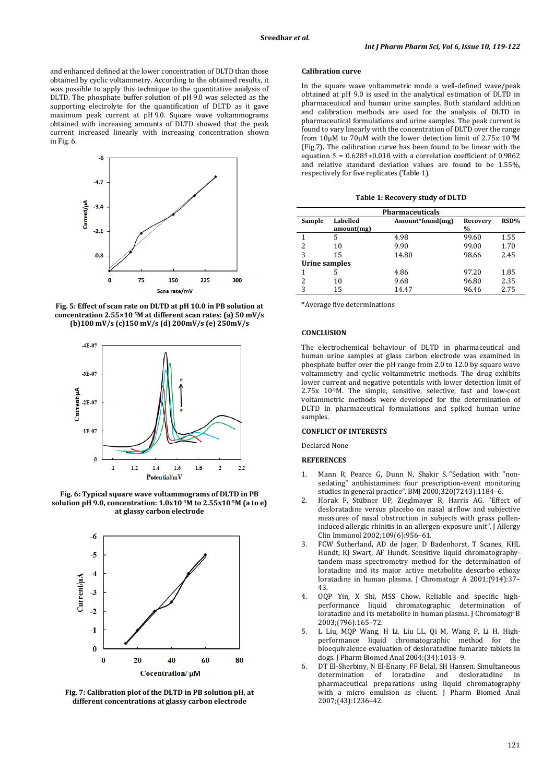and enhanced defined at the lower concentration of DLTD than those obtained by cyclic voltammetry. According to the obtained results, it was possible to apply this technique to the quantitative analysis of DLTD. The phosphate buffer solution of pH 9.0 was selected as the supporting electrolyte for the quantification of DLTD as it gave maximum peak current at pH 9.0. Square wave voltammograms obtained with increasing amounts of DLTD showed that the peak current increased linearly with increasing concentration shown in Fig. 6.



**Fig. 5: Effect of scan rate on DLTD at pH 10.0 in PB solution at concentration 2.55×10-5M at different scan rates: (a) 50 mV/s (b)100 mV/s (c)150 mV/s (d) 200mV/s (e) 250mV/s**



**Fig. 6: Typical square wave voltammograms of DLTD in PB solution pH 9.0, concentration: 1.0x10-3M to 2.55x10-5M (a to e) at glassy carbon electrode**



**Fig. 7: Calibration plot of the DLTD in PB solution pH, at different concentrations at glassy carbon electrode**

# **Calibration curve**

In the square wave voltammetric mode a well-defined wave/peak obtained at pH 9.0 is used in the analytical estimation of DLTD in pharmaceutical and human urine samples. Both standard addition and calibration methods are used for the analysis of DLTD in pharmaceutical formulations and urine samples. The peak current is found to vary linearly with the concentration of DLTD over the range from 10μM to 70μM with the lower detection limit of 2.75x 10-9M (Fig.7). The calibration curve has been found to be linear with the equation  $5 = 0.6285 + 0.018$  with a correlation coefficient of 0.9862 and relative standard deviation values are found to be 1.55%, respectively for five replicates (Table 1).

|  | <b>Table 1: Recovery study of DLTD</b> |  |  |  |
|--|----------------------------------------|--|--|--|
|--|----------------------------------------|--|--|--|

| <b>Pharmaceuticals</b> |                        |                  |               |      |  |  |  |
|------------------------|------------------------|------------------|---------------|------|--|--|--|
| Sample                 | Labelled<br>amount(mg) | Amount*found(mg) | Recovery<br>% | RSD% |  |  |  |
|                        | 5                      | 4.98             | 99.60         | 1.55 |  |  |  |
| 2                      | 10                     | 9.90             | 99.00         | 1.70 |  |  |  |
| 3                      | 15                     | 14.80            | 98.66         | 2.45 |  |  |  |
| Urine samples          |                        |                  |               |      |  |  |  |
| 1                      |                        | 4.86             | 97.20         | 1.85 |  |  |  |
| 2                      | 10                     | 9.68             | 96.80         | 2.35 |  |  |  |
| 3                      | 15                     | 14.47            | 96.46         | 2.75 |  |  |  |

\*Average five determinations

## **CONCLUSION**

The electrochemical behaviour of DLTD in pharmaceutical and human urine samples at glass carbon electrode was examined in phosphate buffer over the pH range from 2.0 to 12.0 by square wave voltammetry and cyclic voltammetric methods. The drug exhibits lower current and negative potentials with lower detection limit of 2.75x 10-9 M. The simple, sensitive, selective, fast and low-cost voltammetric methods were developed for the determination of DLTD in pharmaceutical formulations and spiked human urine samples.

# **CONFLICT OF INTERESTS**

Declared None

# **REFERENCES**

- 1. Mann R, Pearce G, Dunn N, Shakir S. "Sedation with "nonsedating" antihistamines: four prescription-event monitoring studies in general practice". BMJ 2000;320(7243):1184–6.
- 2. Horak F, Stübner UP, Zieglmayer R, Harris AG. "Effect of desloratadine versus placebo on nasal airflow and subjective measures of nasal obstruction in subjects with grass polleninduced allergic rhinitis in an allergen-exposure unit". J Allergy Clin Immunol 2002;109(6):956–61.
- 3. FCW Sutherland, AD de Jager, D Badenhorst, T Scanes, KHL Hundt, KJ Swart, AF Hundt. Sensitive liquid chromatographytandem mass spectrometry method for the determination of loratadine and its major active metabolite descarbo ethoxy loratadine in human plasma. J Chromatogr A 2001;(914):37– 43.
- 4. OQP Yin, X Shi, MSS Chow. Reliable and specific highperformance liquid chromatographic determination of loratadine and its metabolite in human plasma. J Chromatogr B 2003;(796):165–72.
- 5. L Liu, MQP Wang, H Li, Liu LL, Qi M, Wang P, Li H. Highperformance liquid chromatographic method for the bioequivalence evaluation of desloratadine fumarate tablets in dogs. J Pharm Biomed Anal 2004;(34):1013–9.
- 6. DT El-Sherbiny, N El-Enany, FF Belal, SH Hansen. Simultaneous determination of loratadine and pharmaceutical preparations using liquid chromatography with a micro emulsion as eluent. J Pharm Biomed Anal 2007;(43):1236–42.